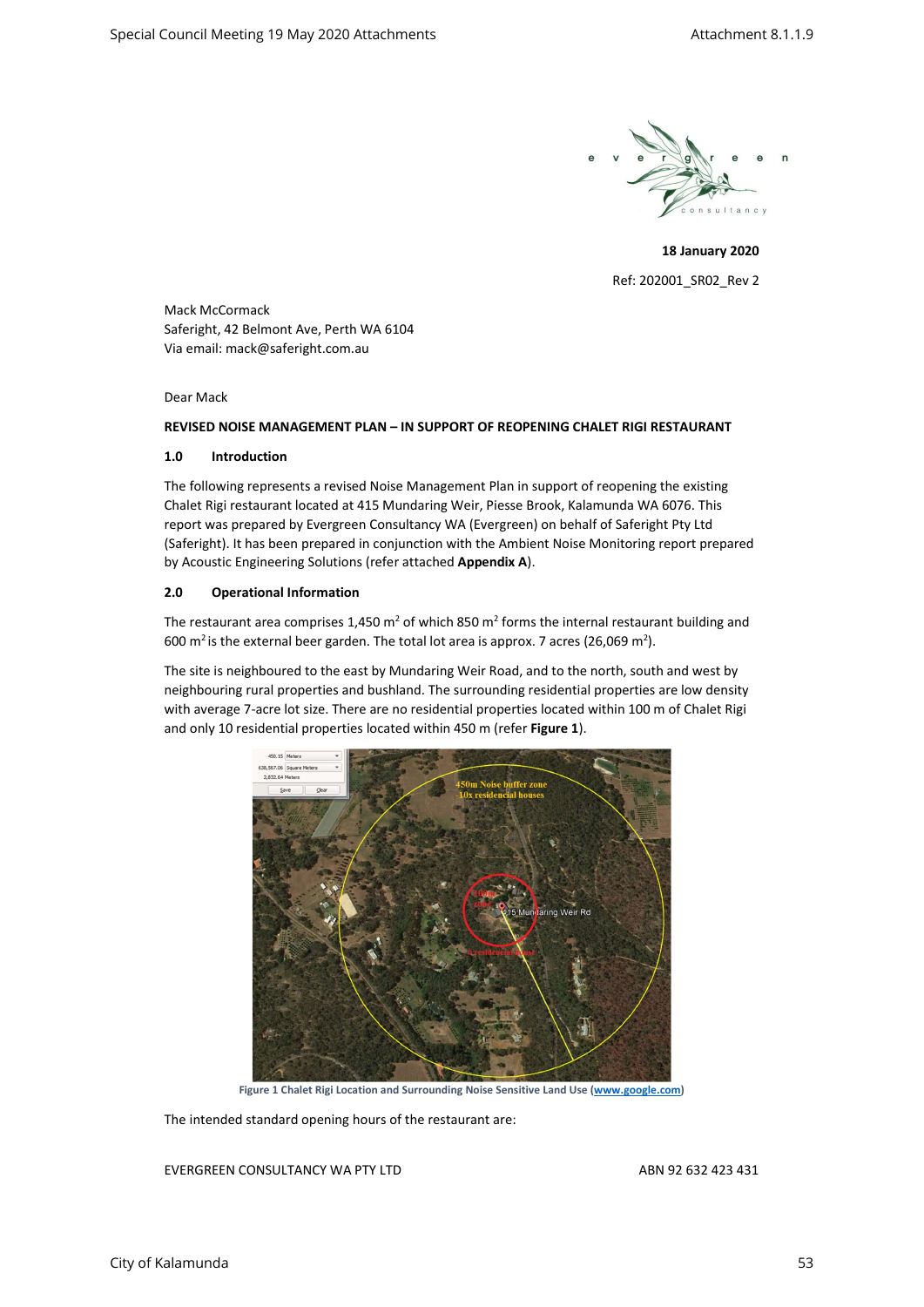

18 January 2020 Ref: 202001\_SR02\_Rev 2

Mack McCormack Saferight, 42 Belmont Ave, Perth WA 6104 Via email: mack@saferight.com.au

Dear Mack

# REVISED NOISE MANAGEMENT PLAN – IN SUPPORT OF REOPENING CHALET RIGI RESTAURANT

# 1.0 Introduction

The following represents a revised Noise Management Plan in support of reopening the existing Chalet Rigi restaurant located at 415 Mundaring Weir, Piesse Brook, Kalamunda WA 6076. This report was prepared by Evergreen Consultancy WA (Evergreen) on behalf of Saferight Pty Ltd (Saferight). It has been prepared in conjunction with the Ambient Noise Monitoring report prepared by Acoustic Engineering Solutions (refer attached Appendix A).

# 2.0 Operational Information

The restaurant area comprises 1,450 m<sup>2</sup> of which 850 m<sup>2</sup> forms the internal restaurant building and 600 m<sup>2</sup> is the external beer garden. The total lot area is approx. 7 acres (26,069 m<sup>2</sup>).

The site is neighboured to the east by Mundaring Weir Road, and to the north, south and west by neighbouring rural properties and bushland. The surrounding residential properties are low density with average 7-acre lot size. There are no residential properties located within 100 m of Chalet Rigi and only 10 residential properties located within 450 m (refer Figure 1).



Figure 1 Chalet Rigi Location and Surrounding Noise Sensitive Land Use (www.google.com)

The intended standard opening hours of the restaurant are: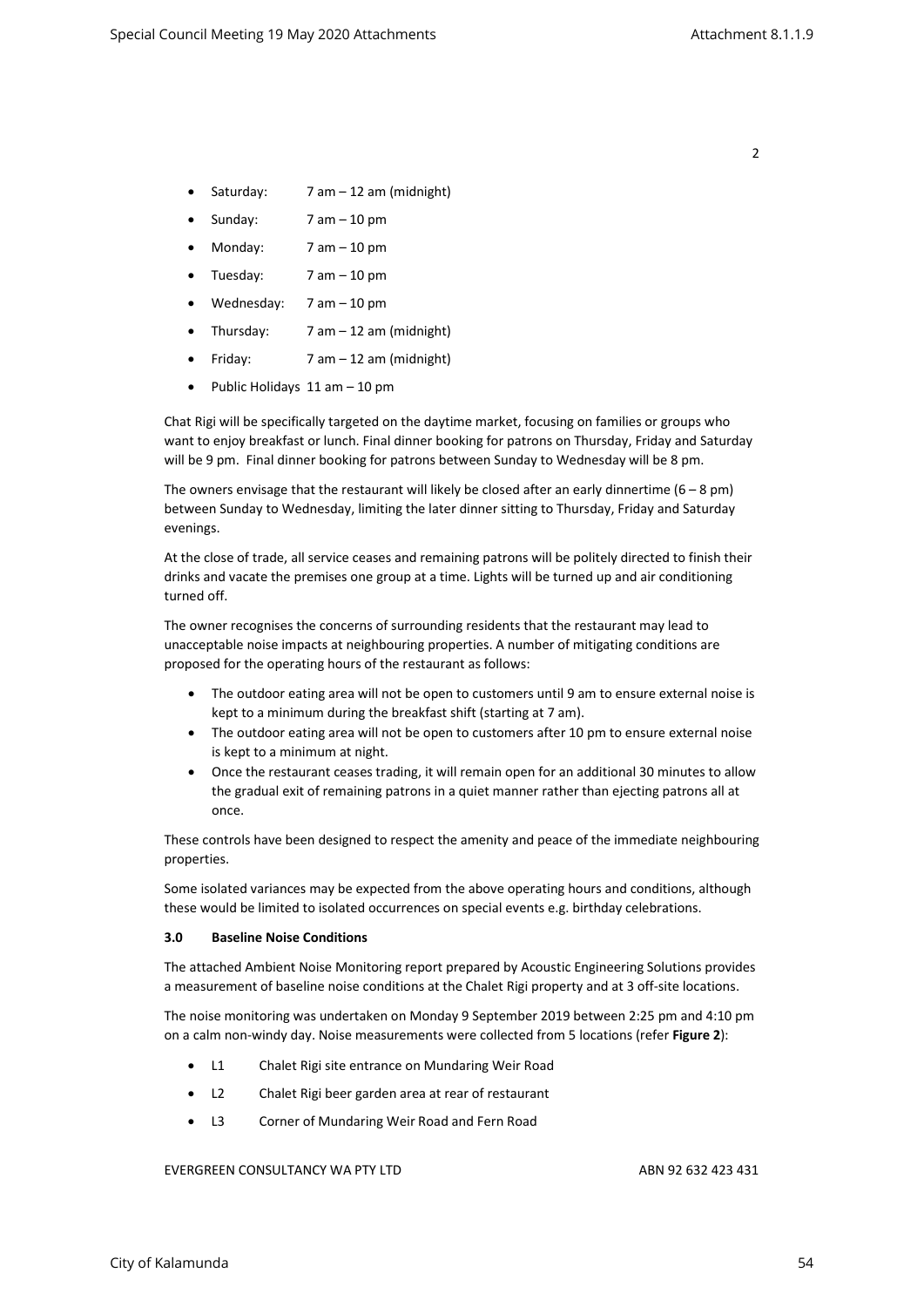- Saturday:  $7 am 12 am (midnight)$
- Sunday: 7 am 10 pm
- $\bullet$  Monday:  $7 \text{ am} 10 \text{ pm}$
- Tuesday: 7 am 10 pm
- Wednesday: 7 am 10 pm
- Thursday: 7 am 12 am (midnight)
- Friday:  $7 \text{ am} 12 \text{ am}$  (midnight)
- $\bullet$  Public Holidays 11 am  $-$  10 pm

Chat Rigi will be specifically targeted on the daytime market, focusing on families or groups who want to enjoy breakfast or lunch. Final dinner booking for patrons on Thursday, Friday and Saturday will be 9 pm. Final dinner booking for patrons between Sunday to Wednesday will be 8 pm.

The owners envisage that the restaurant will likely be closed after an early dinnertime ( $6 - 8$  pm) between Sunday to Wednesday, limiting the later dinner sitting to Thursday, Friday and Saturday evenings.

At the close of trade, all service ceases and remaining patrons will be politely directed to finish their drinks and vacate the premises one group at a time. Lights will be turned up and air conditioning turned off.

The owner recognises the concerns of surrounding residents that the restaurant may lead to unacceptable noise impacts at neighbouring properties. A number of mitigating conditions are proposed for the operating hours of the restaurant as follows:

- The outdoor eating area will not be open to customers until 9 am to ensure external noise is kept to a minimum during the breakfast shift (starting at 7 am).
- The outdoor eating area will not be open to customers after 10 pm to ensure external noise is kept to a minimum at night.
- Once the restaurant ceases trading, it will remain open for an additional 30 minutes to allow the gradual exit of remaining patrons in a quiet manner rather than ejecting patrons all at once.

These controls have been designed to respect the amenity and peace of the immediate neighbouring properties.

Some isolated variances may be expected from the above operating hours and conditions, although these would be limited to isolated occurrences on special events e.g. birthday celebrations.

#### 3.0 Baseline Noise Conditions

The attached Ambient Noise Monitoring report prepared by Acoustic Engineering Solutions provides a measurement of baseline noise conditions at the Chalet Rigi property and at 3 off-site locations.

The noise monitoring was undertaken on Monday 9 September 2019 between 2:25 pm and 4:10 pm on a calm non-windy day. Noise measurements were collected from 5 locations (refer Figure 2):

- L1 Chalet Rigi site entrance on Mundaring Weir Road
- L2 Chalet Rigi beer garden area at rear of restaurant
- L3 Corner of Mundaring Weir Road and Fern Road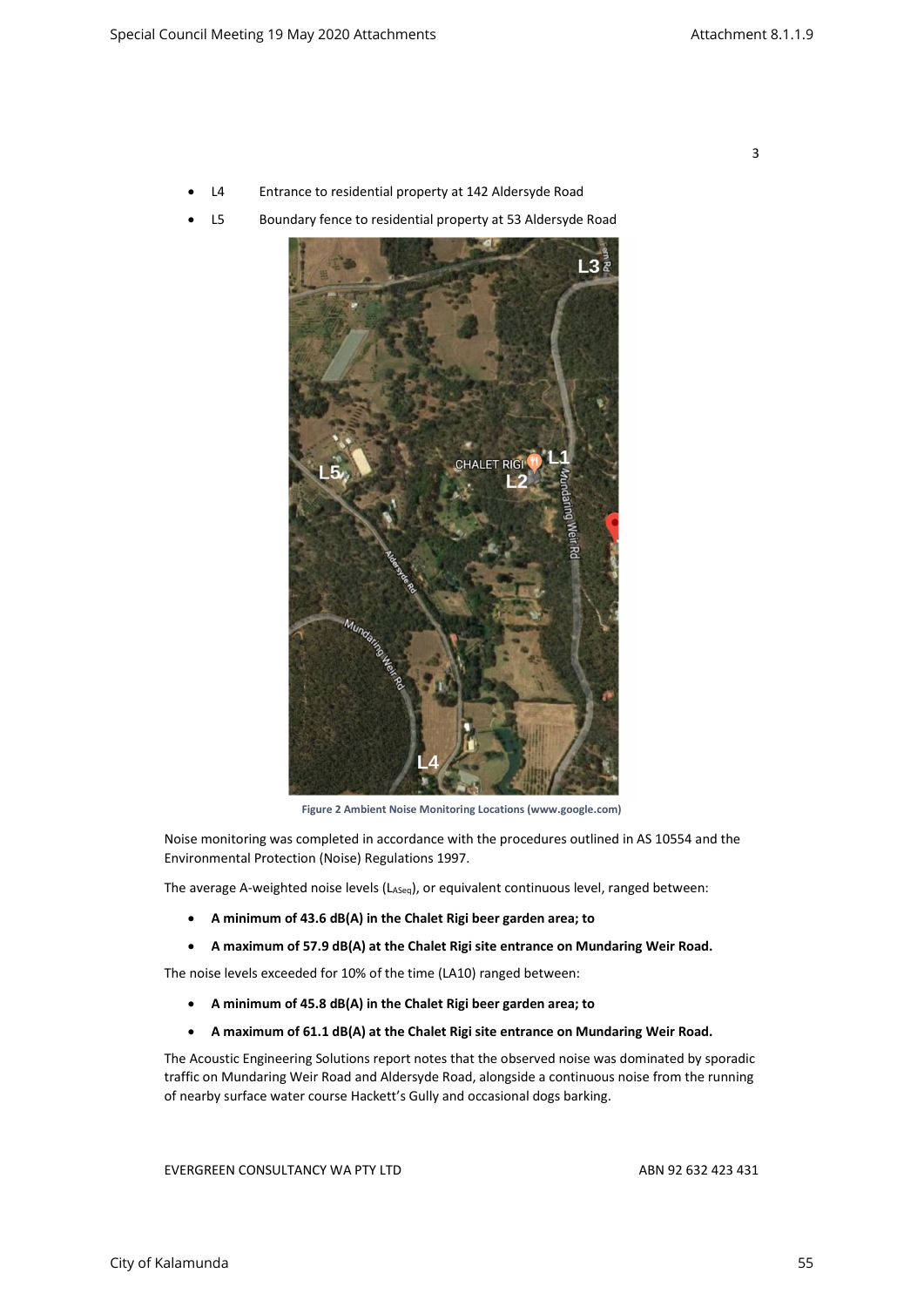- L4 Entrance to residential property at 142 Aldersyde Road
- L5 Boundary fence to residential property at 53 Aldersyde Road



Figure 2 Ambient Noise Monitoring Locations (www.google.com)

Noise monitoring was completed in accordance with the procedures outlined in AS 10554 and the Environmental Protection (Noise) Regulations 1997.

The average A-weighted noise levels (LASeq), or equivalent continuous level, ranged between:

- A minimum of 43.6 dB(A) in the Chalet Rigi beer garden area; to
- A maximum of 57.9 dB(A) at the Chalet Rigi site entrance on Mundaring Weir Road.

The noise levels exceeded for 10% of the time (LA10) ranged between:

- A minimum of 45.8 dB(A) in the Chalet Rigi beer garden area; to
- A maximum of 61.1 dB(A) at the Chalet Rigi site entrance on Mundaring Weir Road.

The Acoustic Engineering Solutions report notes that the observed noise was dominated by sporadic traffic on Mundaring Weir Road and Aldersyde Road, alongside a continuous noise from the running of nearby surface water course Hackett's Gully and occasional dogs barking.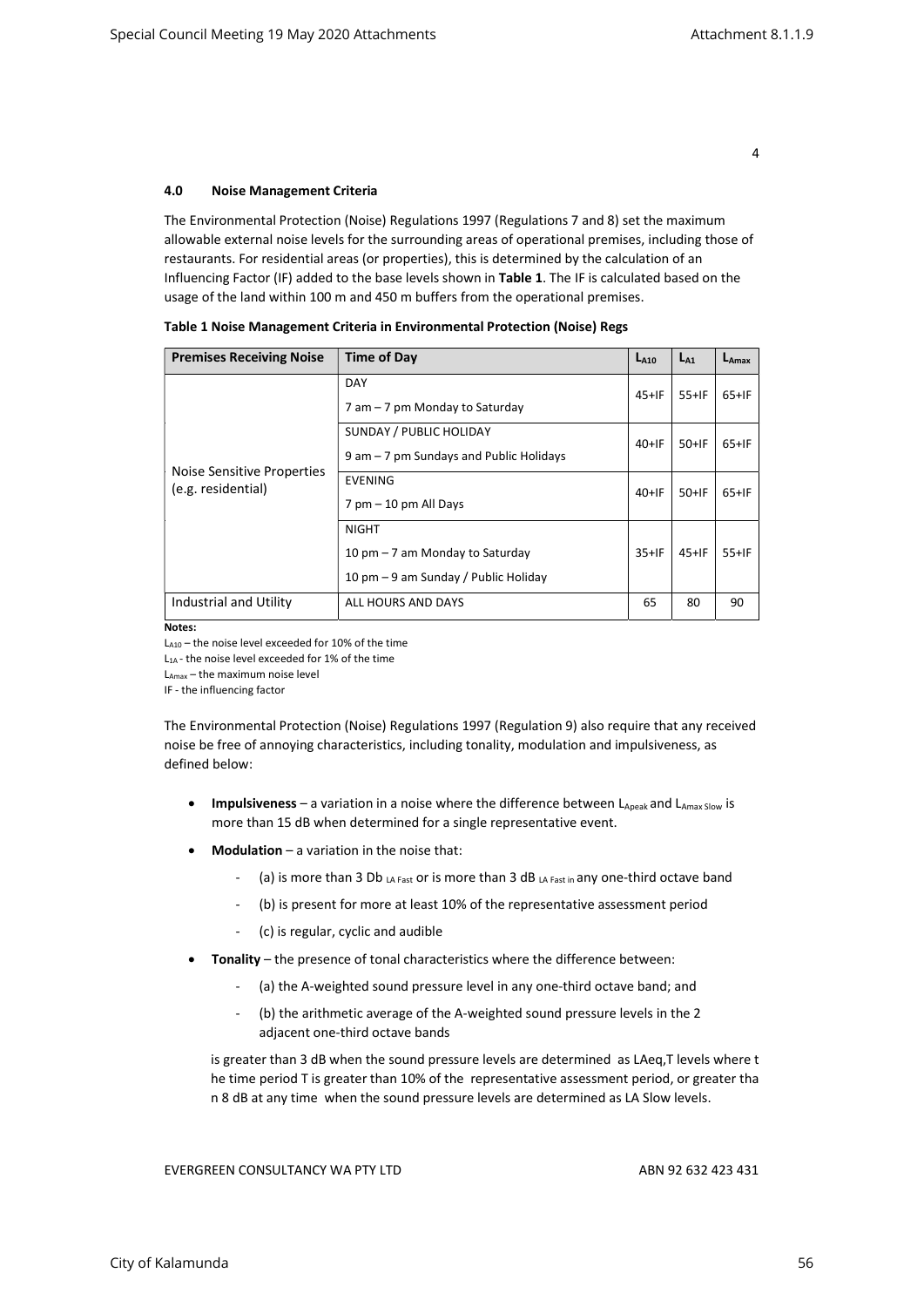## 4.0 Noise Management Criteria

The Environmental Protection (Noise) Regulations 1997 (Regulations 7 and 8) set the maximum allowable external noise levels for the surrounding areas of operational premises, including those of restaurants. For residential areas (or properties), this is determined by the calculation of an Influencing Factor (IF) added to the base levels shown in Table 1. The IF is calculated based on the usage of the land within 100 m and 450 m buffers from the operational premises.

| <b>Premises Receiving Noise</b>                  | <b>Time of Day</b>                                                                      | $L_{A10}$ | $L_{A1}$ | $L_{\text{Amax}}$ |
|--------------------------------------------------|-----------------------------------------------------------------------------------------|-----------|----------|-------------------|
| Noise Sensitive Properties<br>(e.g. residential) | <b>DAY</b><br>7 am – 7 pm Monday to Saturday                                            |           | $55+IF$  | $65+IF$           |
|                                                  | SUNDAY / PUBLIC HOLIDAY<br>9 am - 7 pm Sundays and Public Holidays                      |           | $50+IF$  | $65+IF$           |
|                                                  | <b>EVENING</b><br>$7$ pm $-10$ pm All Days                                              | $40+IF$   | $50+IF$  | $65+IF$           |
|                                                  | <b>NIGHT</b><br>10 pm – 7 am Monday to Saturday<br>10 pm – 9 am Sunday / Public Holiday | $35+IF$   | $45+IF$  | $55+IF$           |
| Industrial and Utility                           | ALL HOURS AND DAYS                                                                      | 65        | 80       | 90                |

|  | Table 1 Noise Management Criteria in Environmental Protection (Noise) Regs |  |
|--|----------------------------------------------------------------------------|--|
|--|----------------------------------------------------------------------------|--|

Notes:

LA10 – the noise level exceeded for 10% of the time

L<sub>1A</sub> - the noise level exceeded for 1% of the time

 $L_{Amax}$  – the maximum noise level

IF - the influencing factor

The Environmental Protection (Noise) Regulations 1997 (Regulation 9) also require that any received noise be free of annoying characteristics, including tonality, modulation and impulsiveness, as defined below:

- **Impulsiveness** a variation in a noise where the difference between  $L_{\text{Apeak}}$  and  $L_{\text{Amax Slow}}$  is more than 15 dB when determined for a single representative event.
- Modulation a variation in the noise that:
	- (a) is more than 3 Db  $_{\text{LA Fast}}$  or is more than 3 dB  $_{\text{LA Fast in}}$  any one-third octave band
	- (b) is present for more at least 10% of the representative assessment period
	- (c) is regular, cyclic and audible
- Tonality the presence of tonal characteristics where the difference between:
	- (a) the A-weighted sound pressure level in any one-third octave band; and
	- (b) the arithmetic average of the A-weighted sound pressure levels in the 2 adjacent one-third octave bands

is greater than 3 dB when the sound pressure levels are determined as LAeq,T levels where t he time period T is greater than 10% of the representative assessment period, or greater tha n 8 dB at any time when the sound pressure levels are determined as LA Slow levels.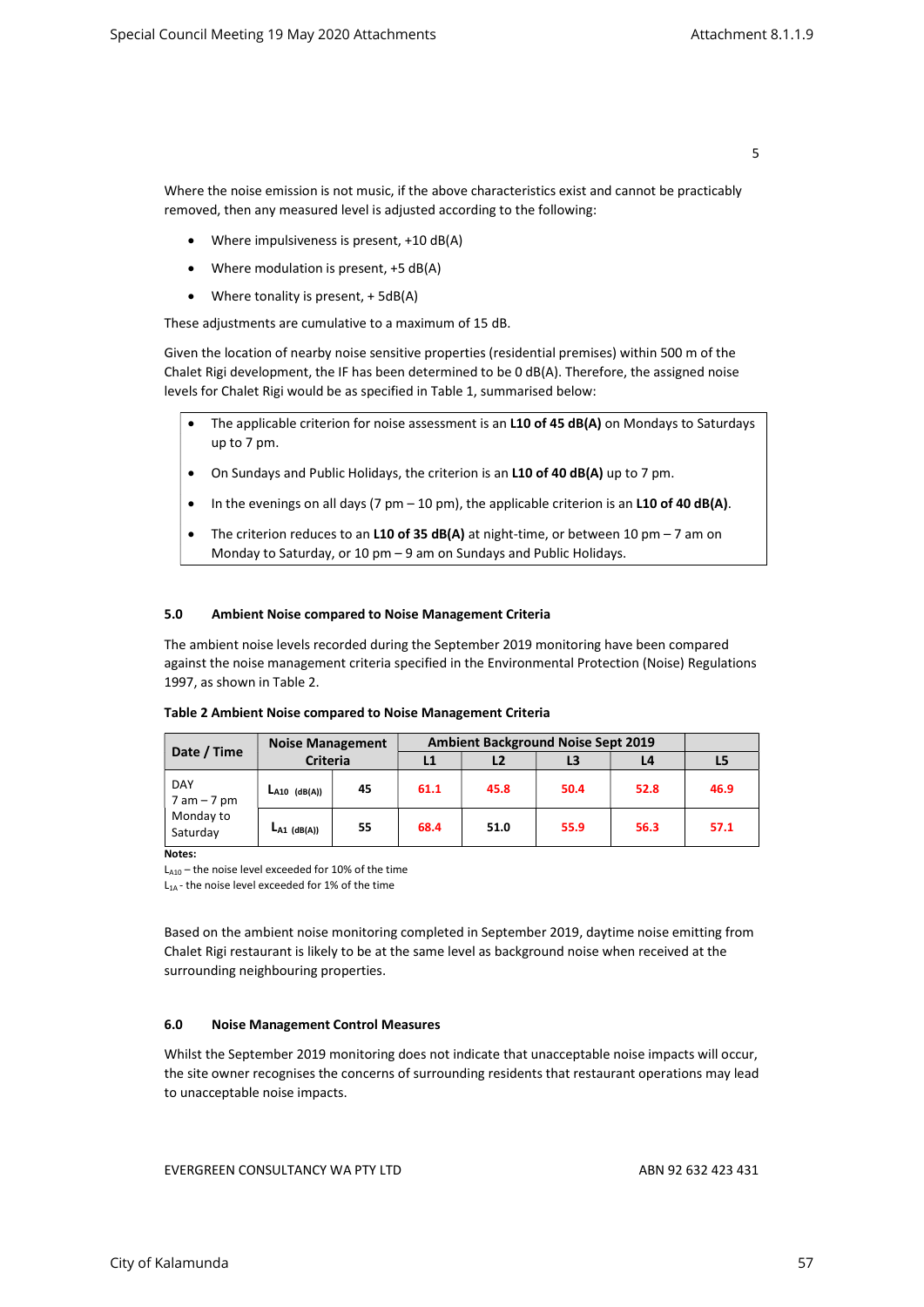Where the noise emission is not music, if the above characteristics exist and cannot be practicably removed, then any measured level is adjusted according to the following:

- Where impulsiveness is present, +10 dB(A)
- Where modulation is present, +5 dB(A)
- Where tonality is present, + 5dB(A)

These adjustments are cumulative to a maximum of 15 dB.

Given the location of nearby noise sensitive properties (residential premises) within 500 m of the Chalet Rigi development, the IF has been determined to be 0 dB(A). Therefore, the assigned noise levels for Chalet Rigi would be as specified in Table 1, summarised below:

- The applicable criterion for noise assessment is an L10 of 45 dB(A) on Mondays to Saturdays up to 7 pm.
- On Sundays and Public Holidays, the criterion is an L10 of 40 dB(A) up to 7 pm.
- In the evenings on all days (7 pm  $-$  10 pm), the applicable criterion is an L10 of 40 dB(A).
- The criterion reduces to an L10 of 35  $dB(A)$  at night-time, or between 10 pm 7 am on Monday to Saturday, or 10 pm – 9 am on Sundays and Public Holidays.

# 5.0 Ambient Noise compared to Noise Management Criteria

The ambient noise levels recorded during the September 2019 monitoring have been compared against the noise management criteria specified in the Environmental Protection (Noise) Regulations 1997, as shown in Table 2.

| Date / Time                                           | <b>Noise Management</b> |    | <b>Ambient Background Noise Sept 2019</b> |      |      |      |      |
|-------------------------------------------------------|-------------------------|----|-------------------------------------------|------|------|------|------|
|                                                       | <b>Criteria</b>         |    | L1                                        | L2   |      | L4   | L5   |
| <b>DAY</b><br>$7$ am $-7$ pm<br>Monday to<br>Saturday | LA10 (dB(A))            | 45 | 61.1                                      | 45.8 | 50.4 | 52.8 | 46.9 |
|                                                       | $LA1$ (dB(A))           | 55 | 68.4                                      | 51.0 | 55.9 | 56.3 | 57.1 |

## Table 2 Ambient Noise compared to Noise Management Criteria

Notes:

 $L_{A10}$  – the noise level exceeded for 10% of the time

L1A - the noise level exceeded for 1% of the time

Based on the ambient noise monitoring completed in September 2019, daytime noise emitting from Chalet Rigi restaurant is likely to be at the same level as background noise when received at the surrounding neighbouring properties.

# 6.0 Noise Management Control Measures

Whilst the September 2019 monitoring does not indicate that unacceptable noise impacts will occur, the site owner recognises the concerns of surrounding residents that restaurant operations may lead to unacceptable noise impacts.

EVERGREEN CONSULTANCY WA PTY LTD ABN 92 632 423 431

5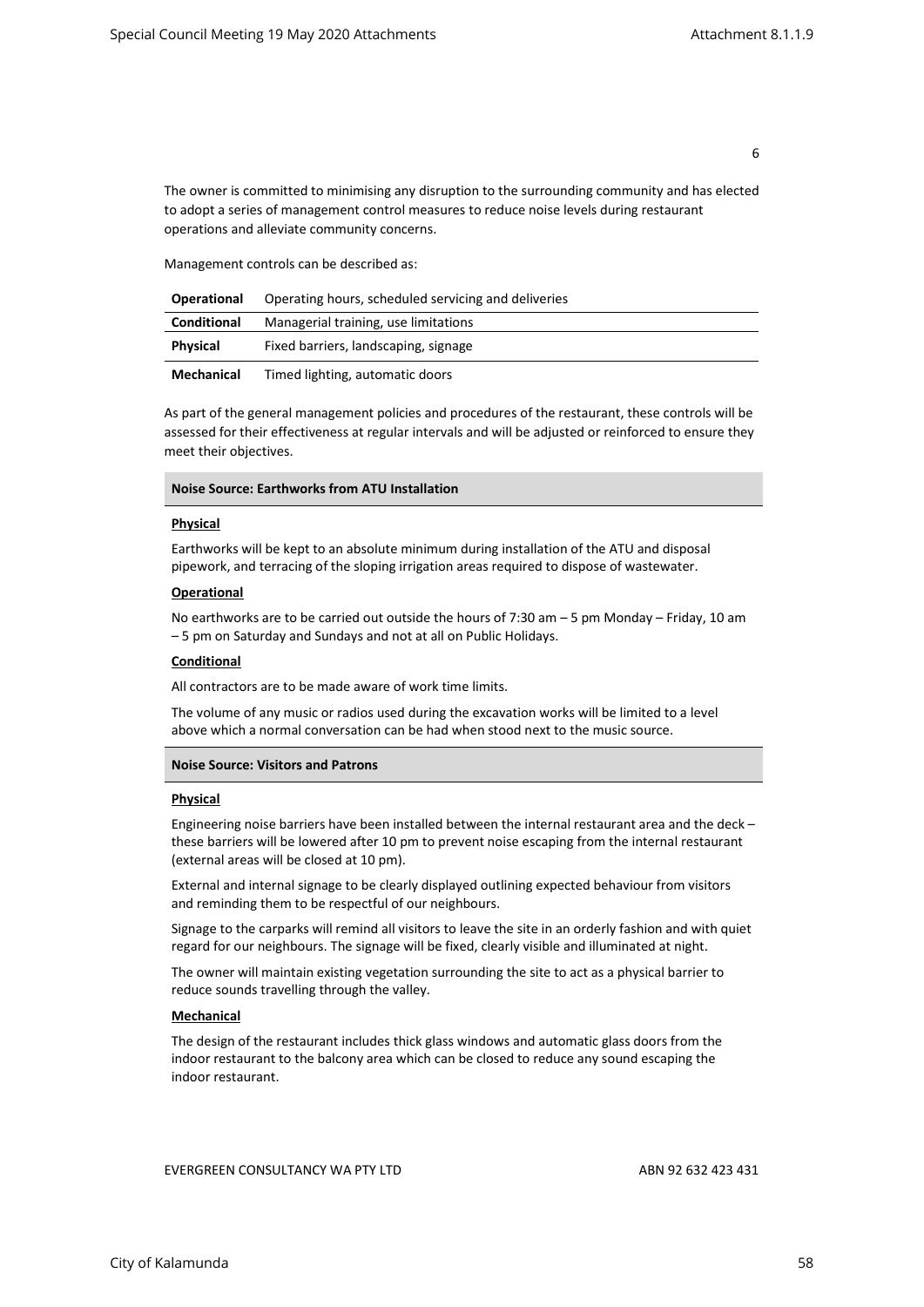The owner is committed to minimising any disruption to the surrounding community and has elected to adopt a series of management control measures to reduce noise levels during restaurant operations and alleviate community concerns.

Management controls can be described as:

| <b>Operational</b> | Operating hours, scheduled servicing and deliveries |  |
|--------------------|-----------------------------------------------------|--|
| Conditional        | Managerial training, use limitations                |  |
| Physical           | Fixed barriers, landscaping, signage                |  |
| Mechanical         | Timed lighting, automatic doors                     |  |

As part of the general management policies and procedures of the restaurant, these controls will be assessed for their effectiveness at regular intervals and will be adjusted or reinforced to ensure they meet their objectives.

#### Physical

Earthworks will be kept to an absolute minimum during installation of the ATU and disposal pipework, and terracing of the sloping irrigation areas required to dispose of wastewater.

## **Operational**

No earthworks are to be carried out outside the hours of 7:30 am – 5 pm Monday – Friday, 10 am – 5 pm on Saturday and Sundays and not at all on Public Holidays.

#### **Conditional**

All contractors are to be made aware of work time limits.

The volume of any music or radios used during the excavation works will be limited to a level above which a normal conversation can be had when stood next to the music source.

## Noise Source: Visitors and Patrons

# **Physical**

Engineering noise barriers have been installed between the internal restaurant area and the deck – these barriers will be lowered after 10 pm to prevent noise escaping from the internal restaurant (external areas will be closed at 10 pm).

External and internal signage to be clearly displayed outlining expected behaviour from visitors and reminding them to be respectful of our neighbours.

Signage to the carparks will remind all visitors to leave the site in an orderly fashion and with quiet regard for our neighbours. The signage will be fixed, clearly visible and illuminated at night.

The owner will maintain existing vegetation surrounding the site to act as a physical barrier to reduce sounds travelling through the valley.

## **Mechanical**

The design of the restaurant includes thick glass windows and automatic glass doors from the indoor restaurant to the balcony area which can be closed to reduce any sound escaping the indoor restaurant.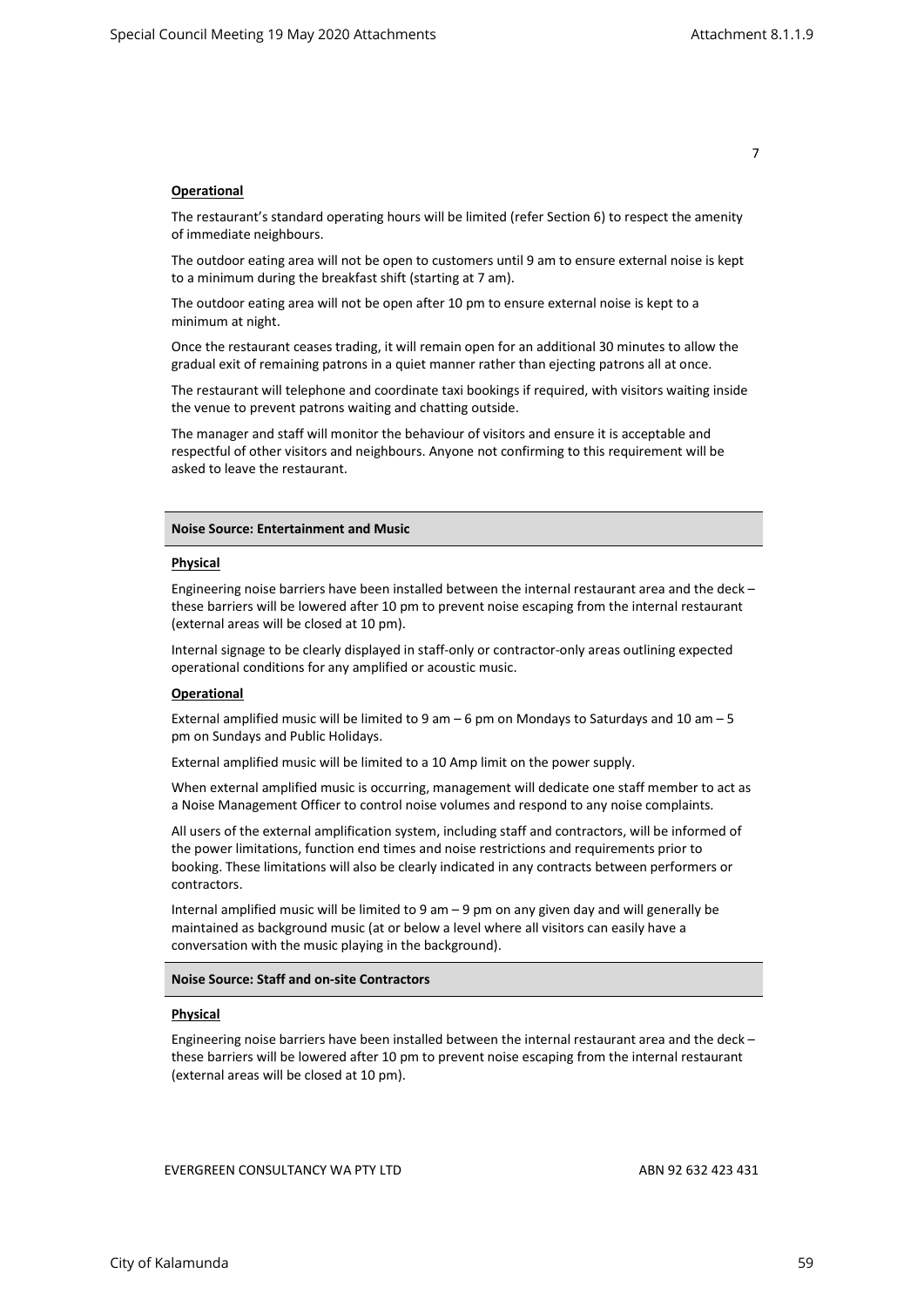## **Operational**

The restaurant's standard operating hours will be limited (refer Section 6) to respect the amenity of immediate neighbours.

The outdoor eating area will not be open to customers until 9 am to ensure external noise is kept to a minimum during the breakfast shift (starting at 7 am).

The outdoor eating area will not be open after 10 pm to ensure external noise is kept to a minimum at night.

Once the restaurant ceases trading, it will remain open for an additional 30 minutes to allow the gradual exit of remaining patrons in a quiet manner rather than ejecting patrons all at once.

The restaurant will telephone and coordinate taxi bookings if required, with visitors waiting inside the venue to prevent patrons waiting and chatting outside.

The manager and staff will monitor the behaviour of visitors and ensure it is acceptable and respectful of other visitors and neighbours. Anyone not confirming to this requirement will be asked to leave the restaurant.

## Noise Source: Entertainment and Music

#### Physical

Engineering noise barriers have been installed between the internal restaurant area and the deck – these barriers will be lowered after 10 pm to prevent noise escaping from the internal restaurant (external areas will be closed at 10 pm).

Internal signage to be clearly displayed in staff-only or contractor-only areas outlining expected operational conditions for any amplified or acoustic music.

## Operational

External amplified music will be limited to 9 am – 6 pm on Mondays to Saturdays and 10 am – 5 pm on Sundays and Public Holidays.

External amplified music will be limited to a 10 Amp limit on the power supply.

When external amplified music is occurring, management will dedicate one staff member to act as a Noise Management Officer to control noise volumes and respond to any noise complaints.

All users of the external amplification system, including staff and contractors, will be informed of the power limitations, function end times and noise restrictions and requirements prior to booking. These limitations will also be clearly indicated in any contracts between performers or contractors.

Internal amplified music will be limited to 9 am – 9 pm on any given day and will generally be maintained as background music (at or below a level where all visitors can easily have a conversation with the music playing in the background).

# Noise Source: Staff and on-site Contractors

## Physical

Engineering noise barriers have been installed between the internal restaurant area and the deck – these barriers will be lowered after 10 pm to prevent noise escaping from the internal restaurant (external areas will be closed at 10 pm).

EVERGREEN CONSULTANCY WA PTY LTD ABN 92 632 423 431

7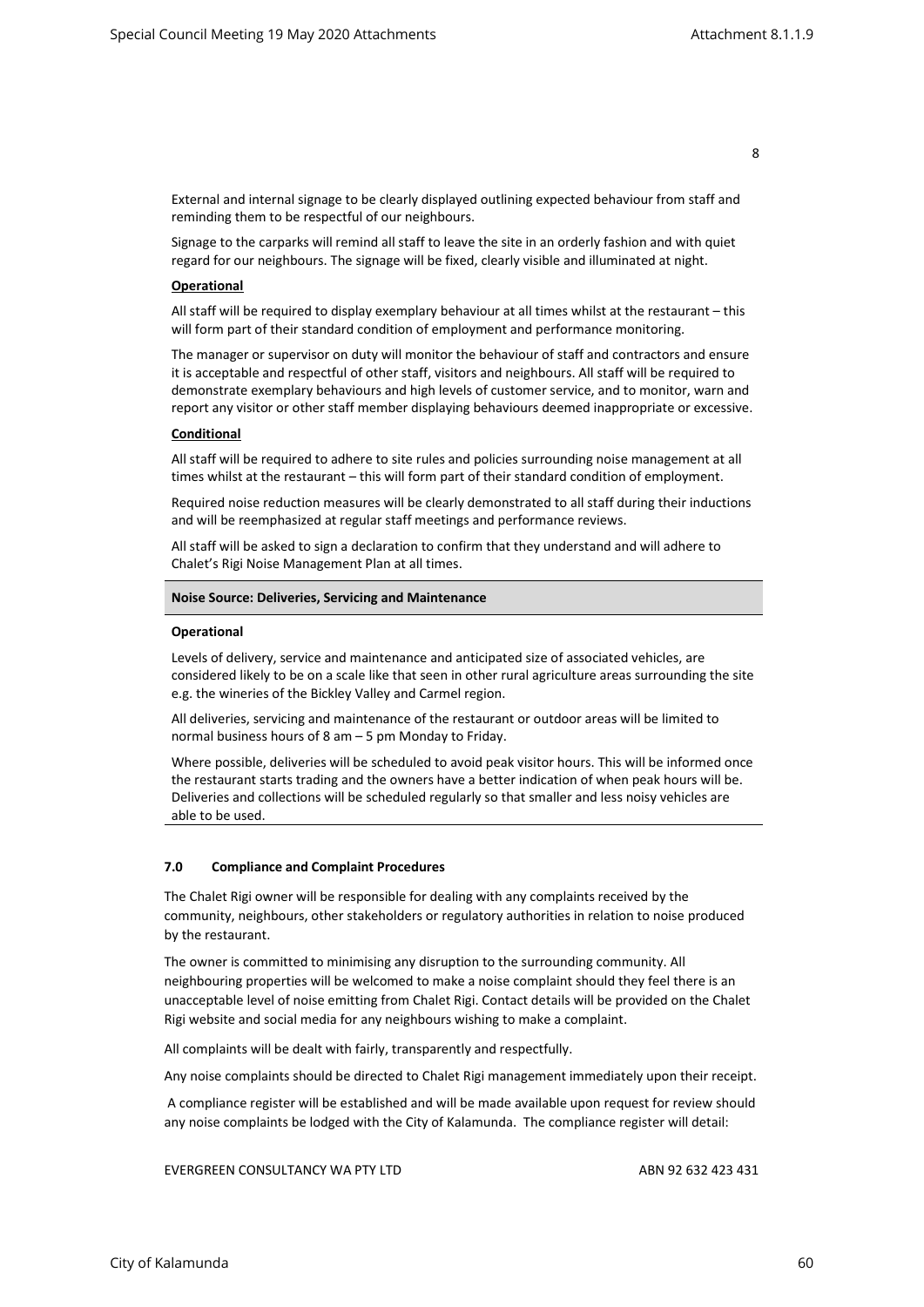External and internal signage to be clearly displayed outlining expected behaviour from staff and reminding them to be respectful of our neighbours.

Signage to the carparks will remind all staff to leave the site in an orderly fashion and with quiet regard for our neighbours. The signage will be fixed, clearly visible and illuminated at night.

## Operational

All staff will be required to display exemplary behaviour at all times whilst at the restaurant – this will form part of their standard condition of employment and performance monitoring.

The manager or supervisor on duty will monitor the behaviour of staff and contractors and ensure it is acceptable and respectful of other staff, visitors and neighbours. All staff will be required to demonstrate exemplary behaviours and high levels of customer service, and to monitor, warn and report any visitor or other staff member displaying behaviours deemed inappropriate or excessive.

## **Conditional**

All staff will be required to adhere to site rules and policies surrounding noise management at all times whilst at the restaurant – this will form part of their standard condition of employment.

Required noise reduction measures will be clearly demonstrated to all staff during their inductions and will be reemphasized at regular staff meetings and performance reviews.

All staff will be asked to sign a declaration to confirm that they understand and will adhere to Chalet's Rigi Noise Management Plan at all times.

#### Noise Source: Deliveries, Servicing and Maintenance

#### Operational

Levels of delivery, service and maintenance and anticipated size of associated vehicles, are considered likely to be on a scale like that seen in other rural agriculture areas surrounding the site e.g. the wineries of the Bickley Valley and Carmel region.

All deliveries, servicing and maintenance of the restaurant or outdoor areas will be limited to normal business hours of 8 am – 5 pm Monday to Friday.

Where possible, deliveries will be scheduled to avoid peak visitor hours. This will be informed once the restaurant starts trading and the owners have a better indication of when peak hours will be. Deliveries and collections will be scheduled regularly so that smaller and less noisy vehicles are able to be used.

#### 7.0 Compliance and Complaint Procedures

The Chalet Rigi owner will be responsible for dealing with any complaints received by the community, neighbours, other stakeholders or regulatory authorities in relation to noise produced by the restaurant.

The owner is committed to minimising any disruption to the surrounding community. All neighbouring properties will be welcomed to make a noise complaint should they feel there is an unacceptable level of noise emitting from Chalet Rigi. Contact details will be provided on the Chalet Rigi website and social media for any neighbours wishing to make a complaint.

All complaints will be dealt with fairly, transparently and respectfully.

Any noise complaints should be directed to Chalet Rigi management immediately upon their receipt.

 A compliance register will be established and will be made available upon request for review should any noise complaints be lodged with the City of Kalamunda. The compliance register will detail: